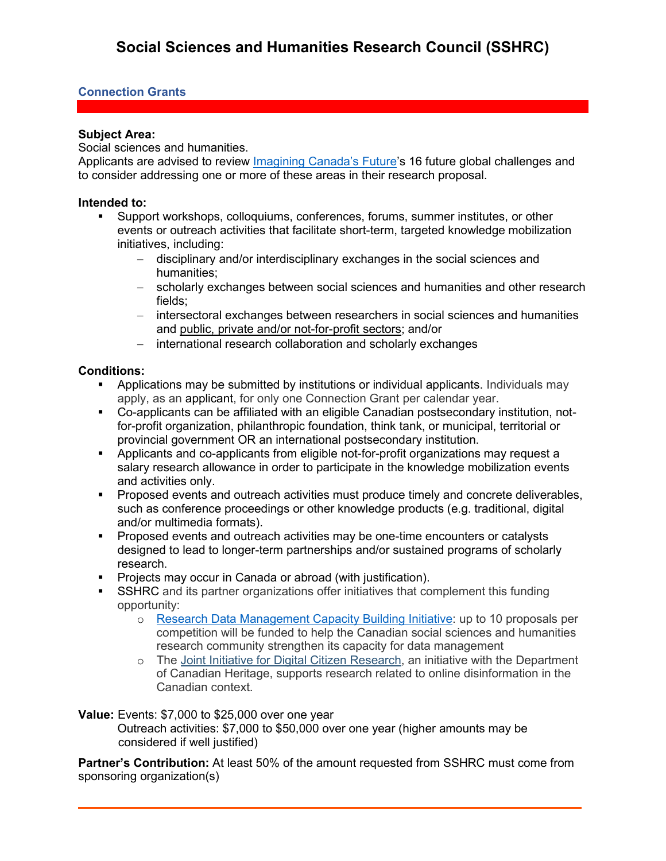## **Connection Grants**

#### **Subject Area:**

Social sciences and humanities.

Applicants are advised to review [Imagining Canada's Future'](https://www.sshrc-crsh.gc.ca/society-societe/community-communite/Imagining_Canadas_Future-Imaginer_l_avenir_du_Canada-eng.aspx)s 16 future global challenges and to consider addressing one or more of these areas in their research proposal.

### **Intended to:**

- Support workshops, colloquiums, conferences, forums, summer institutes, or other events or outreach activities that facilitate short-term, targeted knowledge mobilization initiatives, including:
	- − disciplinary and/or interdisciplinary exchanges in the social sciences and humanities;
	- − scholarly exchanges between social sciences and humanities and other research fields;
	- − intersectoral exchanges between researchers in social sciences and humanities and public, private and/or not-for-profit sectors; and/or
	- − international research collaboration and scholarly exchanges

## **Conditions:**

- Applications may be submitted by institutions or individual applicants. Individuals may apply, as an applicant, for only one Connection Grant per calendar year.
- Co-applicants can be affiliated with an eligible Canadian postsecondary institution, notfor-profit organization, philanthropic foundation, think tank, or municipal, territorial or provincial government OR an international postsecondary institution.
- Applicants and co-applicants from eligible not-for-profit organizations may request a salary research allowance in order to participate in the knowledge mobilization events and activities only.
- **Proposed events and outreach activities must produce timely and concrete deliverables,** such as conference proceedings or other knowledge products (e.g. traditional, digital and/or multimedia formats).
- **Proposed events and outreach activities may be one-time encounters or catalysts** designed to lead to longer-term partnerships and/or sustained programs of scholarly research.
- **Projects may occur in Canada or abroad (with justification).**
- SSHRC and its partner organizations offer initiatives that complement this funding opportunity:
	- o [Research Data Management Capacity Building Initiative:](https://www.sshrc-crsh.gc.ca/funding-financement/programs-programmes/data_management-gestion_des_donnees-eng.aspx) up to 10 proposals per competition will be funded to help the Canadian social sciences and humanities research community strengthen its capacity for data management
	- o The [Joint Initiative for Digital Citizen Research,](https://www.canada.ca/en/canadian-heritage/services/online-disinformation/joint-initiative-digital-citizen-research.html) an initiative with the Department of Canadian Heritage, supports research related to online disinformation in the Canadian context.

**Value:** Events: \$7,000 to \$25,000 over one year

Outreach activities: \$7,000 to \$50,000 over one year (higher amounts may be considered if well justified)

**Partner's Contribution:** At least 50% of the amount requested from SSHRC must come from sponsoring organization(s)